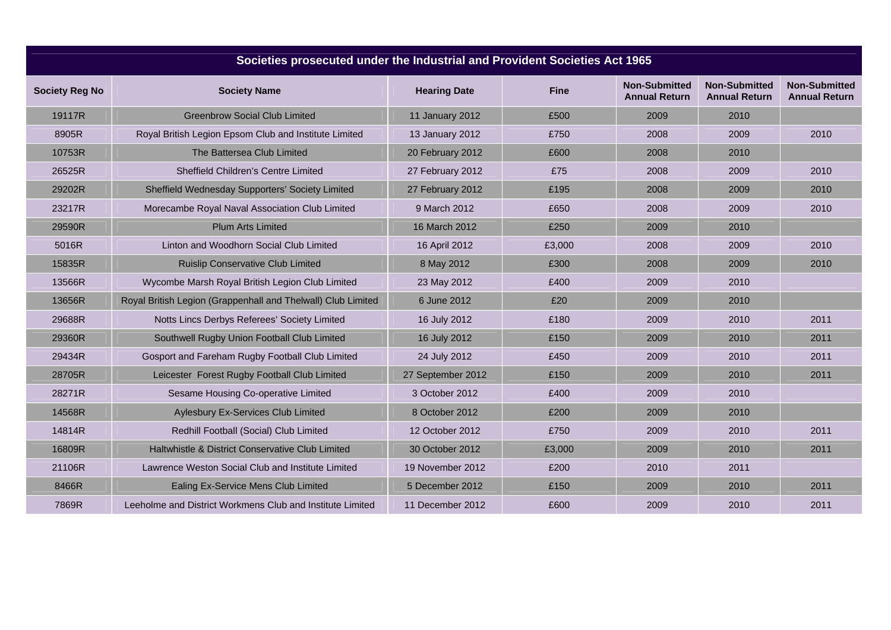| Societies prosecuted under the Industrial and Provident Societies Act 1965 |                                                              |                     |             |                                              |                                              |                                              |  |  |  |  |
|----------------------------------------------------------------------------|--------------------------------------------------------------|---------------------|-------------|----------------------------------------------|----------------------------------------------|----------------------------------------------|--|--|--|--|
| <b>Society Reg No</b>                                                      | <b>Society Name</b>                                          | <b>Hearing Date</b> | <b>Fine</b> | <b>Non-Submitted</b><br><b>Annual Return</b> | <b>Non-Submitted</b><br><b>Annual Return</b> | <b>Non-Submitted</b><br><b>Annual Return</b> |  |  |  |  |
| 19117R                                                                     | <b>Greenbrow Social Club Limited</b>                         | 11 January 2012     | £500        | 2009                                         | 2010                                         |                                              |  |  |  |  |
| 8905R                                                                      | Royal British Legion Epsom Club and Institute Limited        | 13 January 2012     | £750        | 2008                                         | 2009                                         | 2010                                         |  |  |  |  |
| 10753R                                                                     | The Battersea Club Limited                                   | 20 February 2012    | £600        | 2008                                         | 2010                                         |                                              |  |  |  |  |
| 26525R                                                                     | Sheffield Children's Centre Limited                          | 27 February 2012    | £75         | 2008                                         | 2009                                         | 2010                                         |  |  |  |  |
| 29202R                                                                     | Sheffield Wednesday Supporters' Society Limited              | 27 February 2012    | £195        | 2008                                         | 2009                                         | 2010                                         |  |  |  |  |
| 23217R                                                                     | Morecambe Royal Naval Association Club Limited               | 9 March 2012        | £650        | 2008                                         | 2009                                         | 2010                                         |  |  |  |  |
| 29590R                                                                     | <b>Plum Arts Limited</b>                                     | 16 March 2012       | £250        | 2009                                         | 2010                                         |                                              |  |  |  |  |
| 5016R                                                                      | Linton and Woodhorn Social Club Limited                      | 16 April 2012       | £3,000      | 2008                                         | 2009                                         | 2010                                         |  |  |  |  |
| 15835R                                                                     | <b>Ruislip Conservative Club Limited</b>                     | 8 May 2012          | £300        | 2008                                         | 2009                                         | 2010                                         |  |  |  |  |
| 13566R                                                                     | Wycombe Marsh Royal British Legion Club Limited              | 23 May 2012         | £400        | 2009                                         | 2010                                         |                                              |  |  |  |  |
| 13656R                                                                     | Royal British Legion (Grappenhall and Thelwall) Club Limited | 6 June 2012         | £20         | 2009                                         | 2010                                         |                                              |  |  |  |  |
| 29688R                                                                     | Notts Lincs Derbys Referees' Society Limited                 | 16 July 2012        | £180        | 2009                                         | 2010                                         | 2011                                         |  |  |  |  |
| 29360R                                                                     | Southwell Rugby Union Football Club Limited                  | 16 July 2012        | £150        | 2009                                         | 2010                                         | 2011                                         |  |  |  |  |
| 29434R                                                                     | Gosport and Fareham Rugby Football Club Limited              | 24 July 2012        | £450        | 2009                                         | 2010                                         | 2011                                         |  |  |  |  |
| 28705R                                                                     | Leicester Forest Rugby Football Club Limited                 | 27 September 2012   | £150        | 2009                                         | 2010                                         | 2011                                         |  |  |  |  |
| 28271R                                                                     | Sesame Housing Co-operative Limited                          | 3 October 2012      | £400        | 2009                                         | 2010                                         |                                              |  |  |  |  |
| 14568R                                                                     | Aylesbury Ex-Services Club Limited                           | 8 October 2012      | £200        | 2009                                         | 2010                                         |                                              |  |  |  |  |
| 14814R                                                                     | Redhill Football (Social) Club Limited                       | 12 October 2012     | £750        | 2009                                         | 2010                                         | 2011                                         |  |  |  |  |
| 16809R                                                                     | Haltwhistle & District Conservative Club Limited             | 30 October 2012     | £3,000      | 2009                                         | 2010                                         | 2011                                         |  |  |  |  |
| 21106R                                                                     | Lawrence Weston Social Club and Institute Limited            | 19 November 2012    | £200        | 2010                                         | 2011                                         |                                              |  |  |  |  |
| 8466R                                                                      | <b>Ealing Ex-Service Mens Club Limited</b>                   | 5 December 2012     | £150        | 2009                                         | 2010                                         | 2011                                         |  |  |  |  |
| 7869R                                                                      | Leeholme and District Workmens Club and Institute Limited    | 11 December 2012    | £600        | 2009                                         | 2010                                         | 2011                                         |  |  |  |  |